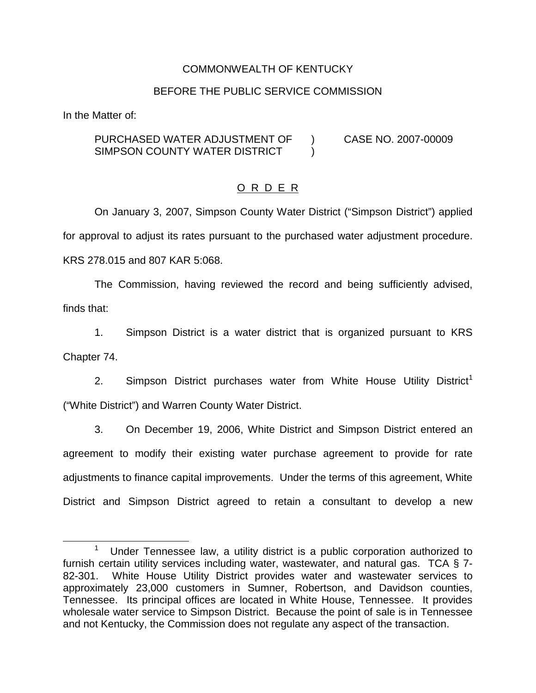## COMMONWEALTH OF KENTUCKY

#### BEFORE THE PUBLIC SERVICE COMMISSION

In the Matter of:

#### PURCHASED WATER ADJUSTMENT OF SIMPSON COUNTY WATER DISTRICT ) CASE NO. 2007-00009  $\lambda$

## O R D E R

On January 3, 2007, Simpson County Water District ("Simpson District") applied for approval to adjust its rates pursuant to the purchased water adjustment procedure. KRS 278.015 and 807 KAR 5:068.

The Commission, having reviewed the record and being sufficiently advised, finds that:

1. Simpson District is a water district that is organized pursuant to KRS Chapter 74.

2. Simpson District purchases water from White House Utility District<sup>1</sup> ("White District") and Warren County Water District.

3. On December 19, 2006, White District and Simpson District entered an agreement to modify their existing water purchase agreement to provide for rate adjustments to finance capital improvements. Under the terms of this agreement, White District and Simpson District agreed to retain a consultant to develop a new

<sup>&</sup>lt;sup>1</sup> Under Tennessee law, a utility district is a public corporation authorized to furnish certain utility services including water, wastewater, and natural gas. TCA § 7- 82-301. White House Utility District provides water and wastewater services to approximately 23,000 customers in Sumner, Robertson, and Davidson counties, Tennessee. Its principal offices are located in White House, Tennessee. It provides wholesale water service to Simpson District. Because the point of sale is in Tennessee and not Kentucky, the Commission does not regulate any aspect of the transaction.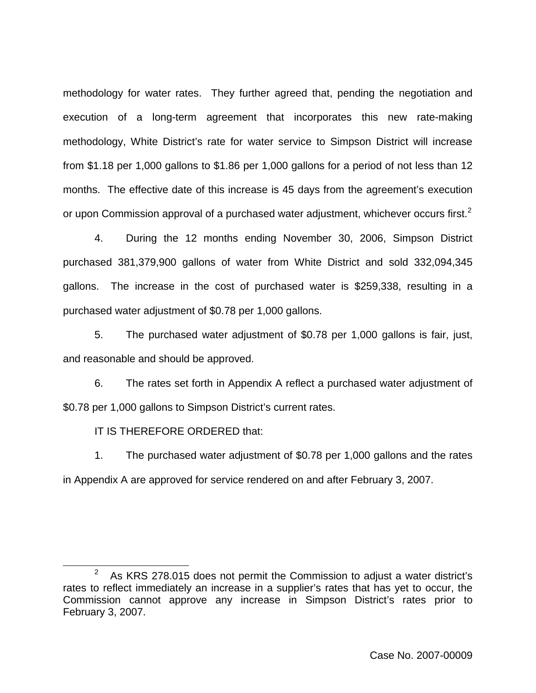methodology for water rates. They further agreed that, pending the negotiation and execution of a long-term agreement that incorporates this new rate-making methodology, White District's rate for water service to Simpson District will increase from \$1.18 per 1,000 gallons to \$1.86 per 1,000 gallons for a period of not less than 12 months. The effective date of this increase is 45 days from the agreement's execution or upon Commission approval of a purchased water adjustment, whichever occurs first.<sup>2</sup>

4. During the 12 months ending November 30, 2006, Simpson District purchased 381,379,900 gallons of water from White District and sold 332,094,345 gallons. The increase in the cost of purchased water is \$259,338, resulting in a purchased water adjustment of \$0.78 per 1,000 gallons.

5. The purchased water adjustment of \$0.78 per 1,000 gallons is fair, just, and reasonable and should be approved.

6. The rates set forth in Appendix A reflect a purchased water adjustment of \$0.78 per 1,000 gallons to Simpson District's current rates.

IT IS THEREFORE ORDERED that:

1. The purchased water adjustment of \$0.78 per 1,000 gallons and the rates in Appendix A are approved for service rendered on and after February 3, 2007.

As KRS 278.015 does not permit the Commission to adjust a water district's rates to reflect immediately an increase in a supplier's rates that has yet to occur, the Commission cannot approve any increase in Simpson District's rates prior to February 3, 2007.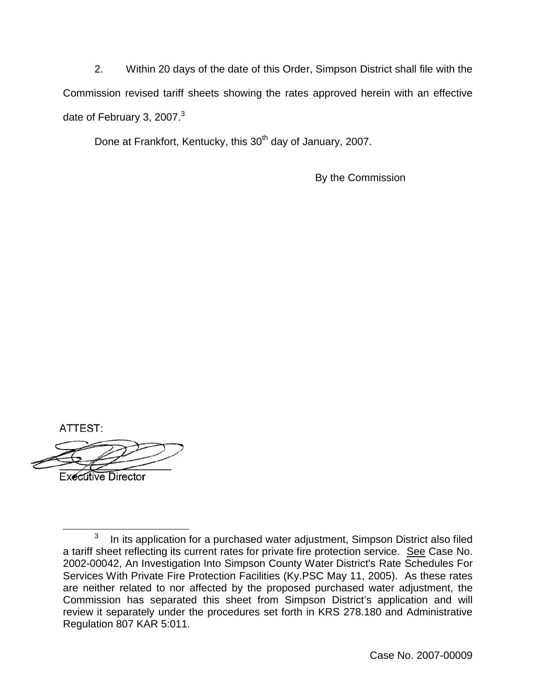2. Within 20 days of the date of this Order, Simpson District shall file with the Commission revised tariff sheets showing the rates approved herein with an effective date of February 3, 2007. $3$ 

Done at Frankfort, Kentucky, this 30<sup>th</sup> day of January, 2007.

By the Commission

ATTEST:

**Executive Director** 

 $3$  In its application for a purchased water adjustment, Simpson District also filed a tariff sheet reflecting its current rates for private fire protection service. See Case No. 2002-00042, An Investigation Into Simpson County Water District's Rate Schedules For Services With Private Fire Protection Facilities (Ky.PSC May 11, 2005). As these rates are neither related to nor affected by the proposed purchased water adjustment, the Commission has separated this sheet from Simpson District's application and will review it separately under the procedures set forth in KRS 278.180 and Administrative Regulation 807 KAR 5:011.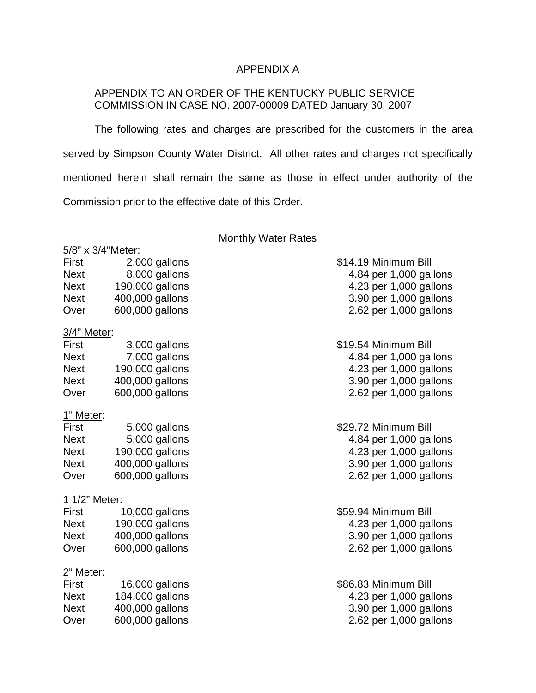## APPENDIX A

## APPENDIX TO AN ORDER OF THE KENTUCKY PUBLIC SERVICE COMMISSION IN CASE NO. 2007-00009 DATED January 30, 2007

The following rates and charges are prescribed for the customers in the area served by Simpson County Water District. All other rates and charges not specifically mentioned herein shall remain the same as those in effect under authority of the Commission prior to the effective date of this Order.

## **Monthly Water Rates**

|               | 5/8" x 3/4"Meter: |                        |
|---------------|-------------------|------------------------|
| First         | 2,000 gallons     | \$14.19 Minimum Bill   |
| <b>Next</b>   | 8,000 gallons     | 4.84 per 1,000 gallons |
| <b>Next</b>   | 190,000 gallons   | 4.23 per 1,000 gallons |
| <b>Next</b>   | 400,000 gallons   | 3.90 per 1,000 gallons |
| Over          | 600,000 gallons   | 2.62 per 1,000 gallons |
| 3/4" Meter:   |                   |                        |
| First         | 3,000 gallons     | \$19.54 Minimum Bill   |
| <b>Next</b>   | 7,000 gallons     | 4.84 per 1,000 gallons |
| <b>Next</b>   | 190,000 gallons   | 4.23 per 1,000 gallons |
| <b>Next</b>   | 400,000 gallons   | 3.90 per 1,000 gallons |
| Over          | 600,000 gallons   | 2.62 per 1,000 gallons |
| 1" Meter:     |                   |                        |
| First         | 5,000 gallons     | \$29.72 Minimum Bill   |
| <b>Next</b>   | 5,000 gallons     | 4.84 per 1,000 gallons |
| <b>Next</b>   | 190,000 gallons   | 4.23 per 1,000 gallons |
| <b>Next</b>   | 400,000 gallons   | 3.90 per 1,000 gallons |
| Over          | 600,000 gallons   | 2.62 per 1,000 gallons |
| 1 1/2" Meter: |                   |                        |
| First         | 10,000 gallons    | \$59.94 Minimum Bill   |
| <b>Next</b>   | 190,000 gallons   | 4.23 per 1,000 gallons |
| <b>Next</b>   | 400,000 gallons   | 3.90 per 1,000 gallons |
| Over          | 600,000 gallons   | 2.62 per 1,000 gallons |
| 2" Meter:     |                   |                        |
| First         | 16,000 gallons    | \$86.83 Minimum Bill   |
| <b>Next</b>   | 184,000 gallons   | 4.23 per 1,000 gallons |
| <b>Next</b>   | 400,000 gallons   | 3.90 per 1,000 gallons |
| Over          | 600,000 gallons   | 2.62 per 1,000 gallons |